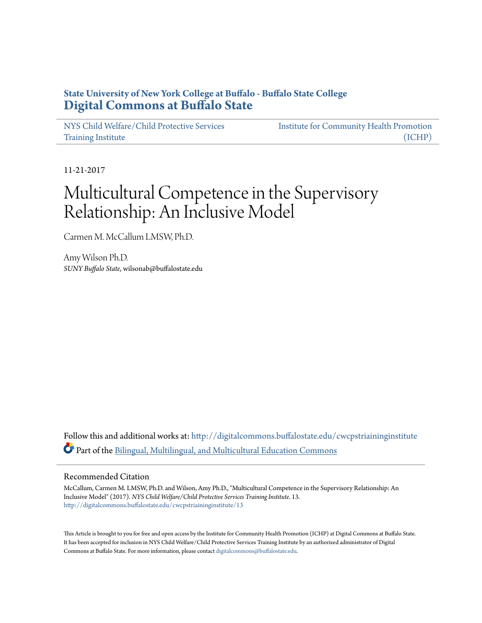# **State University of New York College at Buffalo - Buffalo State College [Digital Commons at Buffalo State](http://digitalcommons.buffalostate.edu?utm_source=digitalcommons.buffalostate.edu%2Fcwcpstriaininginstitute%2F13&utm_medium=PDF&utm_campaign=PDFCoverPages)**

[NYS Child Welfare/Child Protective Services](http://digitalcommons.buffalostate.edu/cwcpstriaininginstitute?utm_source=digitalcommons.buffalostate.edu%2Fcwcpstriaininginstitute%2F13&utm_medium=PDF&utm_campaign=PDFCoverPages) [Training Institute](http://digitalcommons.buffalostate.edu/cwcpstriaininginstitute?utm_source=digitalcommons.buffalostate.edu%2Fcwcpstriaininginstitute%2F13&utm_medium=PDF&utm_campaign=PDFCoverPages)

[Institute for Community Health Promotion](http://digitalcommons.buffalostate.edu/ichpcricdhs?utm_source=digitalcommons.buffalostate.edu%2Fcwcpstriaininginstitute%2F13&utm_medium=PDF&utm_campaign=PDFCoverPages) [\(ICHP\)](http://digitalcommons.buffalostate.edu/ichpcricdhs?utm_source=digitalcommons.buffalostate.edu%2Fcwcpstriaininginstitute%2F13&utm_medium=PDF&utm_campaign=PDFCoverPages)

11-21-2017

# Multicultural Competence in the Supervisory Relationship: An Inclusive Model

Carmen M. McCallum LMSW, Ph.D.

Amy Wilson Ph.D. *SUNY Buffalo State*, wilsonab@buffalostate.edu

Follow this and additional works at: [http://digitalcommons.buffalostate.edu/cwcpstriaininginstitute](http://digitalcommons.buffalostate.edu/cwcpstriaininginstitute?utm_source=digitalcommons.buffalostate.edu%2Fcwcpstriaininginstitute%2F13&utm_medium=PDF&utm_campaign=PDFCoverPages) Part of the [Bilingual, Multilingual, and Multicultural Education Commons](http://network.bepress.com/hgg/discipline/785?utm_source=digitalcommons.buffalostate.edu%2Fcwcpstriaininginstitute%2F13&utm_medium=PDF&utm_campaign=PDFCoverPages)

## Recommended Citation

McCallum, Carmen M. LMSW, Ph.D. and Wilson, Amy Ph.D., "Multicultural Competence in the Supervisory Relationship: An Inclusive Model" (2017). *NYS Child Welfare/Child Protective Services Training Institute*. 13. [http://digitalcommons.buffalostate.edu/cwcpstriaininginstitute/13](http://digitalcommons.buffalostate.edu/cwcpstriaininginstitute/13?utm_source=digitalcommons.buffalostate.edu%2Fcwcpstriaininginstitute%2F13&utm_medium=PDF&utm_campaign=PDFCoverPages)

This Article is brought to you for free and open access by the Institute for Community Health Promotion (ICHP) at Digital Commons at Buffalo State. It has been accepted for inclusion in NYS Child Welfare/Child Protective Services Training Institute by an authorized administrator of Digital Commons at Buffalo State. For more information, please contact [digitalcommons@buffalostate.edu.](mailto:digitalcommons@buffalostate.edu)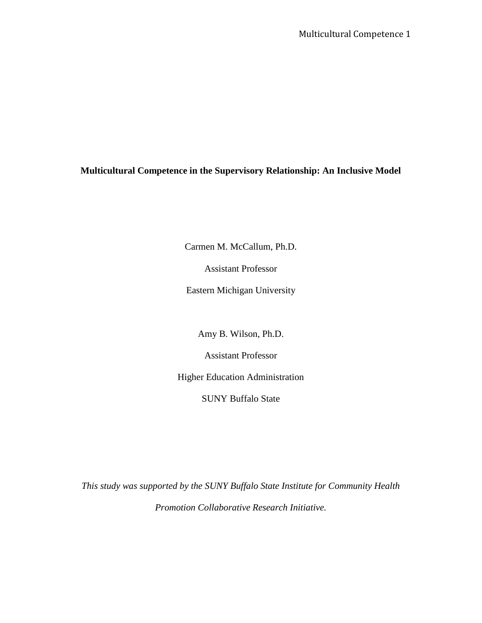Multicultural Competence 1

## **Multicultural Competence in the Supervisory Relationship: An Inclusive Model**

Carmen M. McCallum, Ph.D.

Assistant Professor

Eastern Michigan University

Amy B. Wilson, Ph.D.

Assistant Professor

Higher Education Administration

SUNY Buffalo State

*This study was supported by the SUNY Buffalo State Institute for Community Health Promotion Collaborative Research Initiative.*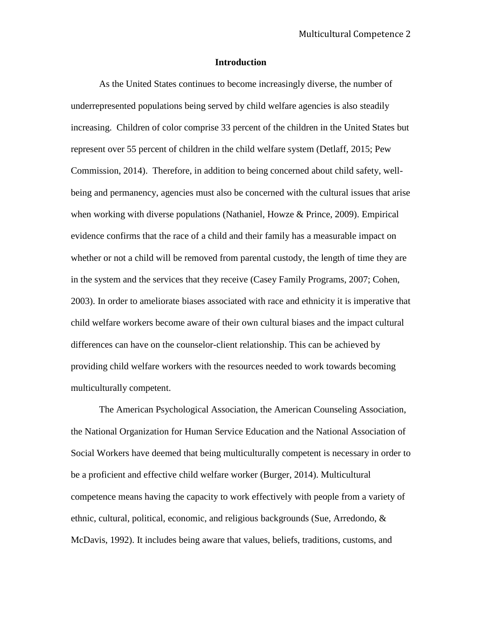## **Introduction**

As the United States continues to become increasingly diverse, the number of underrepresented populations being served by child welfare agencies is also steadily increasing. Children of color comprise 33 percent of the children in the United States but represent over 55 percent of children in the child welfare system (Detlaff, 2015; Pew Commission, 2014). Therefore, in addition to being concerned about child safety, wellbeing and permanency, agencies must also be concerned with the cultural issues that arise when working with diverse populations (Nathaniel, Howze & Prince, 2009). Empirical evidence confirms that the race of a child and their family has a measurable impact on whether or not a child will be removed from parental custody, the length of time they are in the system and the services that they receive (Casey Family Programs, 2007; Cohen, 2003). In order to ameliorate biases associated with race and ethnicity it is imperative that child welfare workers become aware of their own cultural biases and the impact cultural differences can have on the counselor-client relationship. This can be achieved by providing child welfare workers with the resources needed to work towards becoming multiculturally competent.

The American Psychological Association, the American Counseling Association, the National Organization for Human Service Education and the National Association of Social Workers have deemed that being multiculturally competent is necessary in order to be a proficient and effective child welfare worker (Burger, 2014). Multicultural competence means having the capacity to work effectively with people from a variety of ethnic, cultural, political, economic, and religious backgrounds (Sue, Arredondo, & McDavis, 1992). It includes being aware that values, beliefs, traditions, customs, and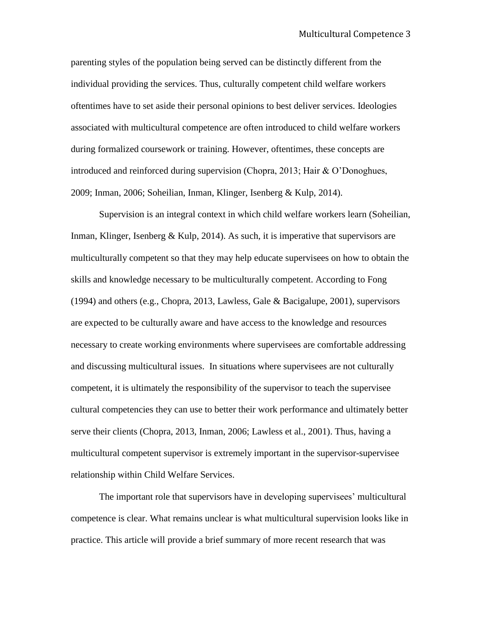parenting styles of the population being served can be distinctly different from the individual providing the services. Thus, culturally competent child welfare workers oftentimes have to set aside their personal opinions to best deliver services. Ideologies associated with multicultural competence are often introduced to child welfare workers during formalized coursework or training. However, oftentimes, these concepts are introduced and reinforced during supervision (Chopra, 2013; Hair & O'Donoghues, 2009; Inman, 2006; Soheilian, Inman, Klinger, Isenberg & Kulp, 2014).

Supervision is an integral context in which child welfare workers learn (Soheilian, Inman, Klinger, Isenberg & Kulp, 2014). As such, it is imperative that supervisors are multiculturally competent so that they may help educate supervisees on how to obtain the skills and knowledge necessary to be multiculturally competent. According to Fong (1994) and others (e.g., Chopra, 2013, Lawless, Gale & Bacigalupe, 2001), supervisors are expected to be culturally aware and have access to the knowledge and resources necessary to create working environments where supervisees are comfortable addressing and discussing multicultural issues. In situations where supervisees are not culturally competent, it is ultimately the responsibility of the supervisor to teach the supervisee cultural competencies they can use to better their work performance and ultimately better serve their clients (Chopra, 2013, Inman, 2006; Lawless et al., 2001). Thus, having a multicultural competent supervisor is extremely important in the supervisor-supervisee relationship within Child Welfare Services.

The important role that supervisors have in developing supervisees' multicultural competence is clear. What remains unclear is what multicultural supervision looks like in practice. This article will provide a brief summary of more recent research that was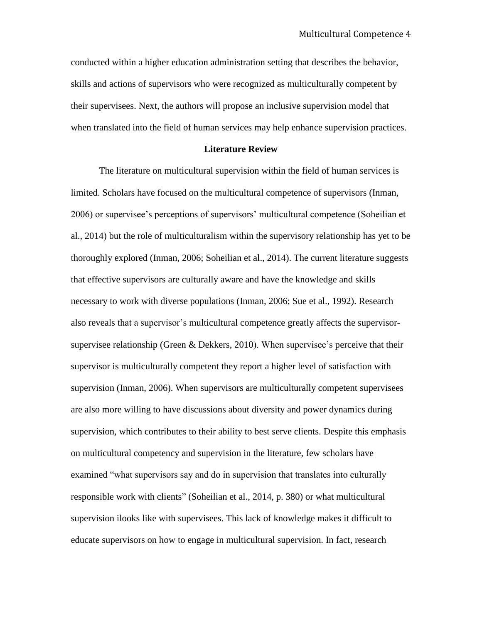conducted within a higher education administration setting that describes the behavior, skills and actions of supervisors who were recognized as multiculturally competent by their supervisees. Next, the authors will propose an inclusive supervision model that when translated into the field of human services may help enhance supervision practices.

#### **Literature Review**

The literature on multicultural supervision within the field of human services is limited. Scholars have focused on the multicultural competence of supervisors (Inman, 2006) or supervisee's perceptions of supervisors' multicultural competence (Soheilian et al., 2014) but the role of multiculturalism within the supervisory relationship has yet to be thoroughly explored (Inman, 2006; Soheilian et al., 2014). The current literature suggests that effective supervisors are culturally aware and have the knowledge and skills necessary to work with diverse populations (Inman, 2006; Sue et al., 1992). Research also reveals that a supervisor's multicultural competence greatly affects the supervisorsupervisee relationship (Green & Dekkers, 2010). When supervisee's perceive that their supervisor is multiculturally competent they report a higher level of satisfaction with supervision (Inman, 2006). When supervisors are multiculturally competent supervisees are also more willing to have discussions about diversity and power dynamics during supervision, which contributes to their ability to best serve clients. Despite this emphasis on multicultural competency and supervision in the literature, few scholars have examined "what supervisors say and do in supervision that translates into culturally responsible work with clients" (Soheilian et al., 2014, p. 380) or what multicultural supervision ilooks like with supervisees. This lack of knowledge makes it difficult to educate supervisors on how to engage in multicultural supervision. In fact, research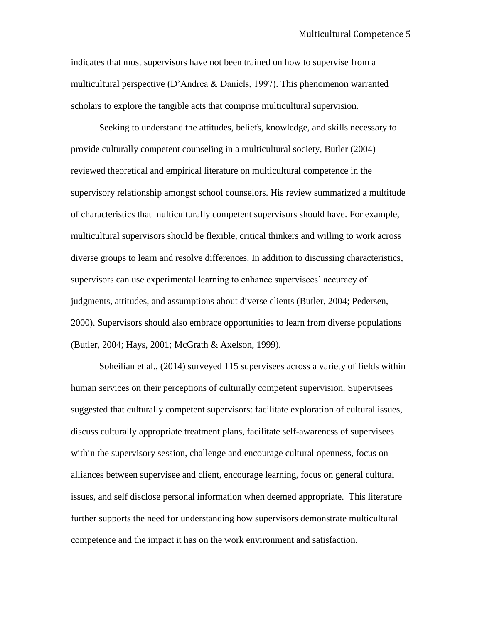indicates that most supervisors have not been trained on how to supervise from a multicultural perspective (D'Andrea & Daniels, 1997). This phenomenon warranted scholars to explore the tangible acts that comprise multicultural supervision.

Seeking to understand the attitudes, beliefs, knowledge, and skills necessary to provide culturally competent counseling in a multicultural society, Butler (2004) reviewed theoretical and empirical literature on multicultural competence in the supervisory relationship amongst school counselors. His review summarized a multitude of characteristics that multiculturally competent supervisors should have. For example, multicultural supervisors should be flexible, critical thinkers and willing to work across diverse groups to learn and resolve differences. In addition to discussing characteristics, supervisors can use experimental learning to enhance supervisees' accuracy of judgments, attitudes, and assumptions about diverse clients (Butler, 2004; Pedersen, 2000). Supervisors should also embrace opportunities to learn from diverse populations (Butler, 2004; Hays, 2001; McGrath & Axelson, 1999).

Soheilian et al., (2014) surveyed 115 supervisees across a variety of fields within human services on their perceptions of culturally competent supervision. Supervisees suggested that culturally competent supervisors: facilitate exploration of cultural issues, discuss culturally appropriate treatment plans, facilitate self-awareness of supervisees within the supervisory session, challenge and encourage cultural openness, focus on alliances between supervisee and client, encourage learning, focus on general cultural issues, and self disclose personal information when deemed appropriate. This literature further supports the need for understanding how supervisors demonstrate multicultural competence and the impact it has on the work environment and satisfaction.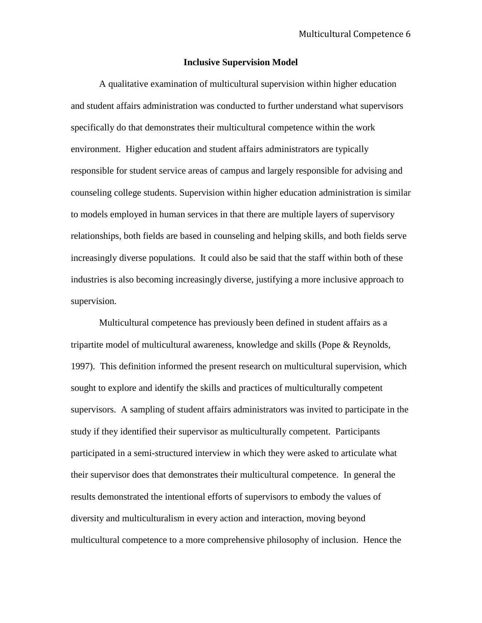## **Inclusive Supervision Model**

A qualitative examination of multicultural supervision within higher education and student affairs administration was conducted to further understand what supervisors specifically do that demonstrates their multicultural competence within the work environment. Higher education and student affairs administrators are typically responsible for student service areas of campus and largely responsible for advising and counseling college students. Supervision within higher education administration is similar to models employed in human services in that there are multiple layers of supervisory relationships, both fields are based in counseling and helping skills, and both fields serve increasingly diverse populations. It could also be said that the staff within both of these industries is also becoming increasingly diverse, justifying a more inclusive approach to supervision.

Multicultural competence has previously been defined in student affairs as a tripartite model of multicultural awareness, knowledge and skills (Pope & Reynolds, 1997). This definition informed the present research on multicultural supervision, which sought to explore and identify the skills and practices of multiculturally competent supervisors. A sampling of student affairs administrators was invited to participate in the study if they identified their supervisor as multiculturally competent. Participants participated in a semi-structured interview in which they were asked to articulate what their supervisor does that demonstrates their multicultural competence. In general the results demonstrated the intentional efforts of supervisors to embody the values of diversity and multiculturalism in every action and interaction, moving beyond multicultural competence to a more comprehensive philosophy of inclusion. Hence the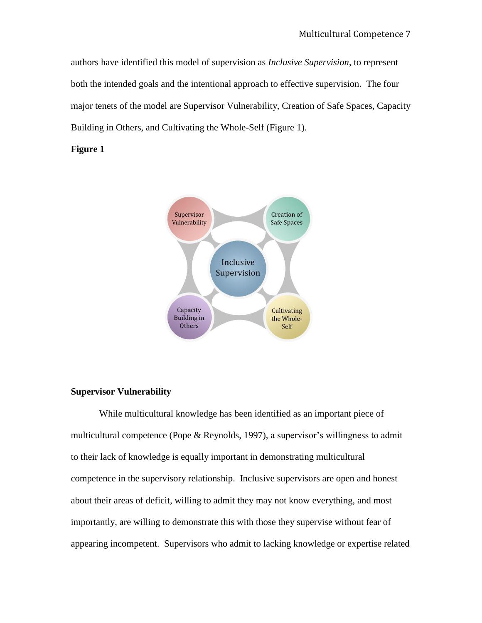authors have identified this model of supervision as *Inclusive Supervision*, to represent both the intended goals and the intentional approach to effective supervision. The four major tenets of the model are Supervisor Vulnerability, Creation of Safe Spaces, Capacity Building in Others, and Cultivating the Whole-Self (Figure 1).

## **Figure 1**



## **Supervisor Vulnerability**

While multicultural knowledge has been identified as an important piece of multicultural competence (Pope & Reynolds, 1997), a supervisor's willingness to admit to their lack of knowledge is equally important in demonstrating multicultural competence in the supervisory relationship. Inclusive supervisors are open and honest about their areas of deficit, willing to admit they may not know everything, and most importantly, are willing to demonstrate this with those they supervise without fear of appearing incompetent. Supervisors who admit to lacking knowledge or expertise related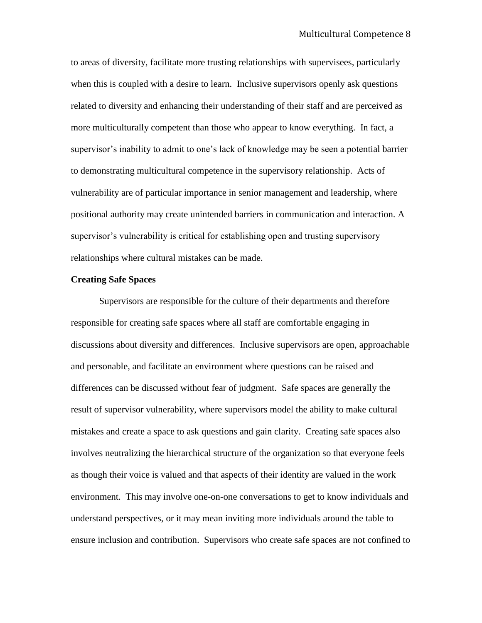to areas of diversity, facilitate more trusting relationships with supervisees, particularly when this is coupled with a desire to learn. Inclusive supervisors openly ask questions related to diversity and enhancing their understanding of their staff and are perceived as more multiculturally competent than those who appear to know everything. In fact, a supervisor's inability to admit to one's lack of knowledge may be seen a potential barrier to demonstrating multicultural competence in the supervisory relationship. Acts of vulnerability are of particular importance in senior management and leadership, where positional authority may create unintended barriers in communication and interaction. A supervisor's vulnerability is critical for establishing open and trusting supervisory relationships where cultural mistakes can be made.

## **Creating Safe Spaces**

Supervisors are responsible for the culture of their departments and therefore responsible for creating safe spaces where all staff are comfortable engaging in discussions about diversity and differences. Inclusive supervisors are open, approachable and personable, and facilitate an environment where questions can be raised and differences can be discussed without fear of judgment. Safe spaces are generally the result of supervisor vulnerability, where supervisors model the ability to make cultural mistakes and create a space to ask questions and gain clarity. Creating safe spaces also involves neutralizing the hierarchical structure of the organization so that everyone feels as though their voice is valued and that aspects of their identity are valued in the work environment. This may involve one-on-one conversations to get to know individuals and understand perspectives, or it may mean inviting more individuals around the table to ensure inclusion and contribution. Supervisors who create safe spaces are not confined to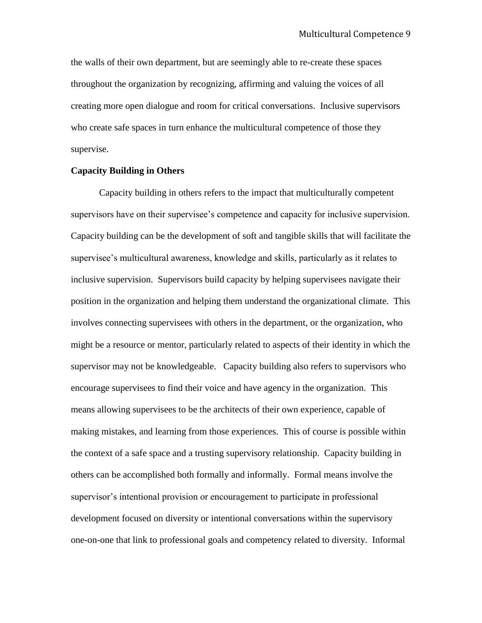the walls of their own department, but are seemingly able to re-create these spaces throughout the organization by recognizing, affirming and valuing the voices of all creating more open dialogue and room for critical conversations. Inclusive supervisors who create safe spaces in turn enhance the multicultural competence of those they supervise.

## **Capacity Building in Others**

Capacity building in others refers to the impact that multiculturally competent supervisors have on their supervisee's competence and capacity for inclusive supervision. Capacity building can be the development of soft and tangible skills that will facilitate the supervisee's multicultural awareness, knowledge and skills, particularly as it relates to inclusive supervision. Supervisors build capacity by helping supervisees navigate their position in the organization and helping them understand the organizational climate. This involves connecting supervisees with others in the department, or the organization, who might be a resource or mentor, particularly related to aspects of their identity in which the supervisor may not be knowledgeable. Capacity building also refers to supervisors who encourage supervisees to find their voice and have agency in the organization. This means allowing supervisees to be the architects of their own experience, capable of making mistakes, and learning from those experiences. This of course is possible within the context of a safe space and a trusting supervisory relationship. Capacity building in others can be accomplished both formally and informally. Formal means involve the supervisor's intentional provision or encouragement to participate in professional development focused on diversity or intentional conversations within the supervisory one-on-one that link to professional goals and competency related to diversity. Informal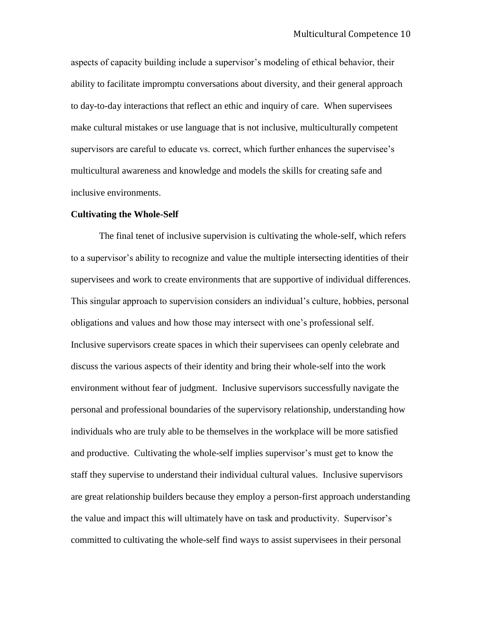aspects of capacity building include a supervisor's modeling of ethical behavior, their ability to facilitate impromptu conversations about diversity, and their general approach to day-to-day interactions that reflect an ethic and inquiry of care. When supervisees make cultural mistakes or use language that is not inclusive, multiculturally competent supervisors are careful to educate vs. correct, which further enhances the supervisee's multicultural awareness and knowledge and models the skills for creating safe and inclusive environments.

#### **Cultivating the Whole-Self**

The final tenet of inclusive supervision is cultivating the whole-self, which refers to a supervisor's ability to recognize and value the multiple intersecting identities of their supervisees and work to create environments that are supportive of individual differences. This singular approach to supervision considers an individual's culture, hobbies, personal obligations and values and how those may intersect with one's professional self. Inclusive supervisors create spaces in which their supervisees can openly celebrate and discuss the various aspects of their identity and bring their whole-self into the work environment without fear of judgment. Inclusive supervisors successfully navigate the personal and professional boundaries of the supervisory relationship, understanding how individuals who are truly able to be themselves in the workplace will be more satisfied and productive. Cultivating the whole-self implies supervisor's must get to know the staff they supervise to understand their individual cultural values. Inclusive supervisors are great relationship builders because they employ a person-first approach understanding the value and impact this will ultimately have on task and productivity. Supervisor's committed to cultivating the whole-self find ways to assist supervisees in their personal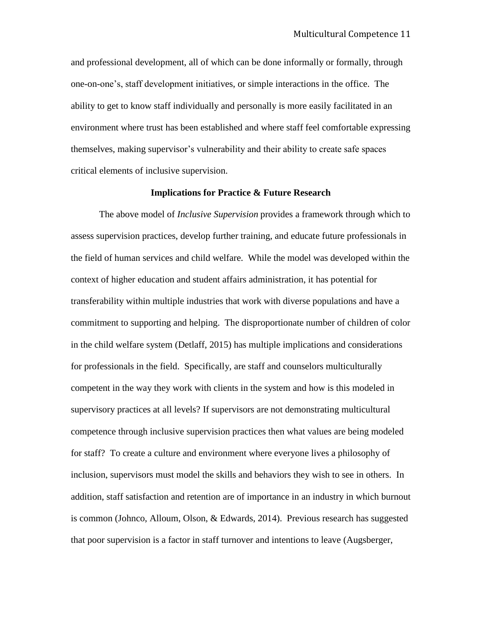and professional development, all of which can be done informally or formally, through one-on-one's, staff development initiatives, or simple interactions in the office. The ability to get to know staff individually and personally is more easily facilitated in an environment where trust has been established and where staff feel comfortable expressing themselves, making supervisor's vulnerability and their ability to create safe spaces critical elements of inclusive supervision.

## **Implications for Practice & Future Research**

The above model of *Inclusive Supervision* provides a framework through which to assess supervision practices, develop further training, and educate future professionals in the field of human services and child welfare. While the model was developed within the context of higher education and student affairs administration, it has potential for transferability within multiple industries that work with diverse populations and have a commitment to supporting and helping. The disproportionate number of children of color in the child welfare system (Detlaff, 2015) has multiple implications and considerations for professionals in the field. Specifically, are staff and counselors multiculturally competent in the way they work with clients in the system and how is this modeled in supervisory practices at all levels? If supervisors are not demonstrating multicultural competence through inclusive supervision practices then what values are being modeled for staff? To create a culture and environment where everyone lives a philosophy of inclusion, supervisors must model the skills and behaviors they wish to see in others. In addition, staff satisfaction and retention are of importance in an industry in which burnout is common (Johnco, Alloum, Olson, & Edwards, 2014). Previous research has suggested that poor supervision is a factor in staff turnover and intentions to leave (Augsberger,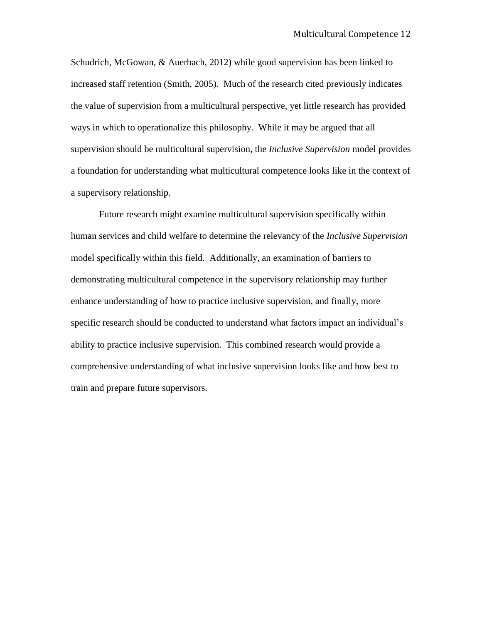Schudrich, McGowan, & Auerbach, 2012) while good supervision has been linked to increased staff retention (Smith, 2005). Much of the research cited previously indicates the value of supervision from a multicultural perspective, yet little research has provided ways in which to operationalize this philosophy. While it may be argued that all supervision should be multicultural supervision, the *Inclusive Supervision* model provides a foundation for understanding what multicultural competence looks like in the context of a supervisory relationship.

Future research might examine multicultural supervision specifically within human services and child welfare to determine the relevancy of the *Inclusive Supervision*  model specifically within this field. Additionally, an examination of barriers to demonstrating multicultural competence in the supervisory relationship may further enhance understanding of how to practice inclusive supervision, and finally, more specific research should be conducted to understand what factors impact an individual's ability to practice inclusive supervision. This combined research would provide a comprehensive understanding of what inclusive supervision looks like and how best to train and prepare future supervisors.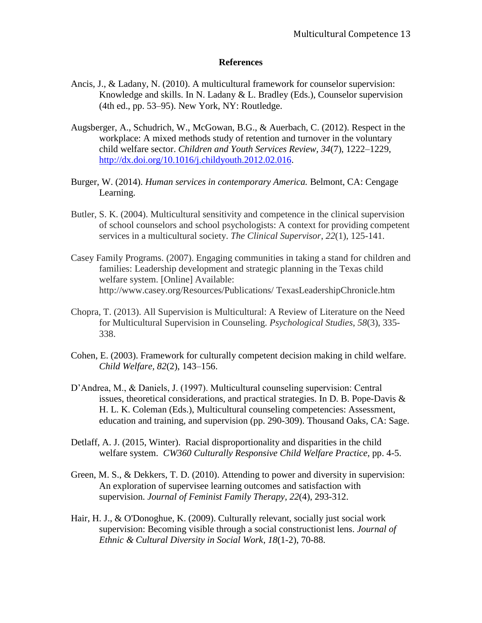## **References**

- Ancis, J., & Ladany, N. (2010). A multicultural framework for counselor supervision: Knowledge and skills. In N. Ladany & L. Bradley (Eds.), Counselor supervision (4th ed., pp. 53–95). New York, NY: Routledge.
- Augsberger, A., Schudrich, W., McGowan, B.G., & Auerbach, C. (2012). Respect in the workplace: A mixed methods study of retention and turnover in the voluntary child welfare sector. *Children and Youth Services Review, 34*(7), 1222–1229, [http://dx.doi.org/10.1016/j.childyouth.2012.02.016.](http://dx.doi.org/10.1016/j.childyouth.2012.02.016)
- Burger, W. (2014). *Human services in contemporary America.* Belmont, CA: Cengage Learning.
- Butler, S. K. (2004). Multicultural sensitivity and competence in the clinical supervision of school counselors and school psychologists: A context for providing competent services in a multicultural society. *The Clinical Supervisor*, *22*(1), 125-141.
- Casey Family Programs. (2007). Engaging communities in taking a stand for children and families: Leadership development and strategic planning in the Texas child welfare system. [Online] Available: http://www.casey.org/Resources/Publications/ TexasLeadershipChronicle.htm
- Chopra, T. (2013). All Supervision is Multicultural: A Review of Literature on the Need for Multicultural Supervision in Counseling. *Psychological Studies*, *58*(3), 335- 338.
- Cohen, E. (2003). Framework for culturally competent decision making in child welfare. *Child Welfare, 82*(2), 143–156.
- D'Andrea, M., & Daniels, J. (1997). Multicultural counseling supervision: Central issues, theoretical considerations, and practical strategies. In D. B. Pope-Davis & H. L. K. Coleman (Eds.), Multicultural counseling competencies: Assessment, education and training, and supervision (pp. 290-309). Thousand Oaks, CA: Sage.
- Detlaff, A. J. (2015, Winter). Racial disproportionality and disparities in the child welfare system. *CW360 Culturally Responsive Child Welfare Practice,* pp. 4-5.
- Green, M. S., & Dekkers, T. D. (2010). Attending to power and diversity in supervision: An exploration of supervisee learning outcomes and satisfaction with supervision. *Journal of Feminist Family Therapy*, *22*(4), 293-312.
- Hair, H. J., & O'Donoghue, K. (2009). Culturally relevant, socially just social work supervision: Becoming visible through a social constructionist lens. *Journal of Ethnic & Cultural Diversity in Social Work*, *18*(1-2), 70-88.